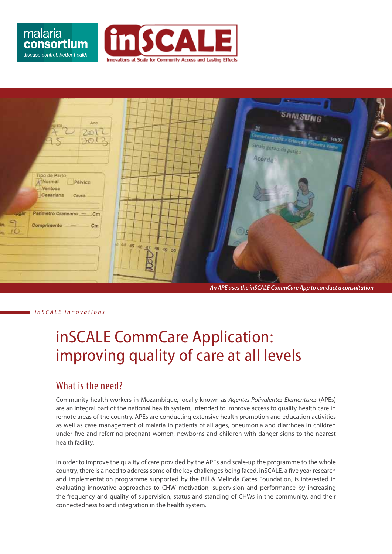



*An APE uses the inSCALE CommCare App to conduct a consultation*

*inSCALE innovations*

# inSCALE CommCare Application: improving quality of care at all levels

## What is the need?

Community health workers in Mozambique, locally known as *Agentes Polivalentes Elementares* (APEs) are an integral part of the national health system, intended to improve access to quality health care in remote areas of the country. APEs are conducting extensive health promotion and education activities as well as case management of malaria in patients of all ages, pneumonia and diarrhoea in children under five and referring pregnant women, newborns and children with danger signs to the nearest health facility.

In order to improve the quality of care provided by the APEs and scale-up the programme to the whole country, there is a need to address some of the key challenges being faced. inSCALE, a five year research and implementation programme supported by the Bill & Melinda Gates Foundation, is interested in evaluating innovative approaches to CHW motivation, supervision and performance by increasing the frequency and quality of supervision, status and standing of CHWs in the community, and their connectedness to and integration in the health system.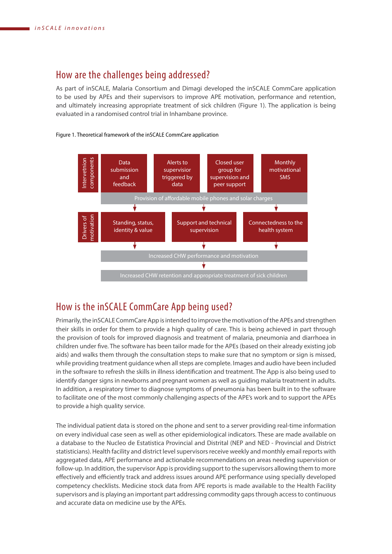## How are the challenges being addressed?

As part of inSCALE, Malaria Consortium and Dimagi developed the inSCALE CommCare application to be used by APEs and their supervisors to improve APE motivation, performance and retention, and ultimately increasing appropriate treatment of sick children (Figure 1). The application is being evaluated in a randomised control trial in Inhambane province.

#### Figure 1. Theoretical framework of the inSCALE CommCare application



## How is the inSCALE CommCare App being used?

Primarily, the inSCALE CommCare App is intended to improve the motivation of the APEs and strengthen their skills in order for them to provide a high quality of care. This is being achieved in part through the provision of tools for improved diagnosis and treatment of malaria, pneumonia and diarrhoea in children under five. The software has been tailor made for the APEs (based on their already existing job aids) and walks them through the consultation steps to make sure that no symptom or sign is missed, while providing treatment guidance when all steps are complete. Images and audio have been included in the software to refresh the skills in illness identification and treatment. The App is also being used to identify danger signs in newborns and pregnant women as well as guiding malaria treatment in adults. In addition, a respiratory timer to diagnose symptoms of pneumonia has been built in to the software to facilitate one of the most commonly challenging aspects of the APE's work and to support the APEs to provide a high quality service.

The individual patient data is stored on the phone and sent to a server providing real-time information on every individual case seen as well as other epidemiological indicators. These are made available on a database to the Nucleo de Estatistica Provincial and Distrital (NEP and NED - Provincial and District statisticians). Health facility and district level supervisors receive weekly and monthly email reports with aggregated data, APE performance and actionable recommendations on areas needing supervision or follow-up. In addition, the supervisor App is providing support to the supervisors allowing them to more effectively and efficiently track and address issues around APE performance using specially developed competency checklists. Medicine stock data from APE reports is made available to the Health Facility supervisors and is playing an important part addressing commodity gaps through access to continuous and accurate data on medicine use by the APEs.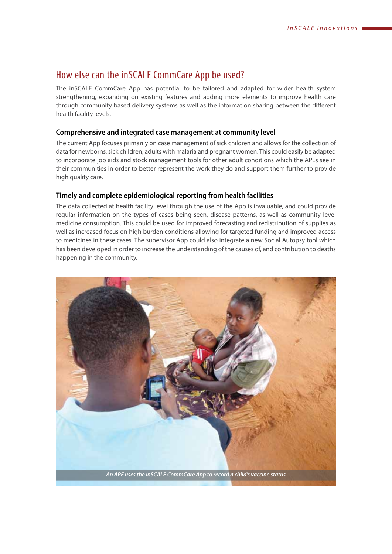# How else can the inSCALE CommCare App be used?

The inSCALE CommCare App has potential to be tailored and adapted for wider health system strengthening, expanding on existing features and adding more elements to improve health care through community based delivery systems as well as the information sharing between the different health facility levels.

### **Comprehensive and integrated case management at community level**

The current App focuses primarily on case management of sick children and allows for the collection of data for newborns, sick children, adults with malaria and pregnant women. This could easily be adapted to incorporate job aids and stock management tools for other adult conditions which the APEs see in their communities in order to better represent the work they do and support them further to provide high quality care.

## **Timely and complete epidemiological reporting from health facilities**

The data collected at health facility level through the use of the App is invaluable, and could provide regular information on the types of cases being seen, disease patterns, as well as community level medicine consumption. This could be used for improved forecasting and redistribution of supplies as well as increased focus on high burden conditions allowing for targeted funding and improved access to medicines in these cases. The supervisor App could also integrate a new Social Autopsy tool which has been developed in order to increase the understanding of the causes of, and contribution to deaths happening in the community.